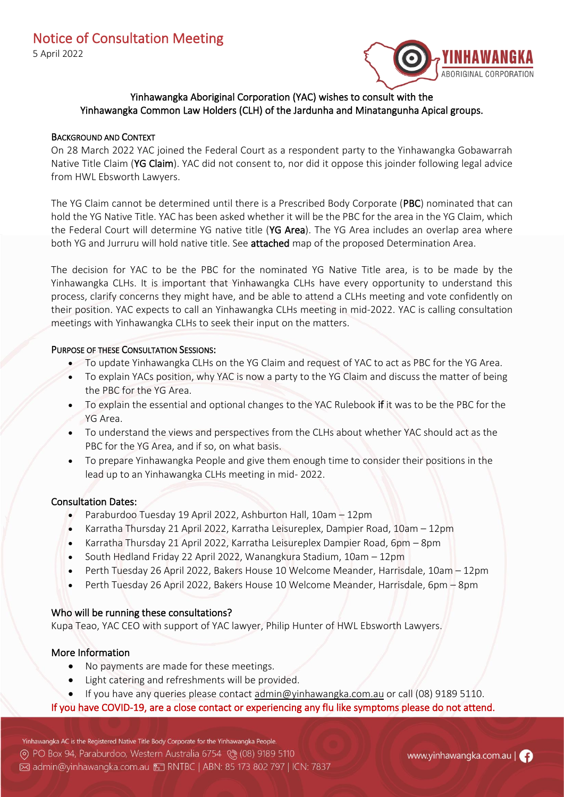

# Yinhawangka Aboriginal Corporation (YAC) wishes to consult with the Yinhawangka Common Law Holders (CLH) of the Jardunha and Minatangunha Apical groups.

#### BACKGROUND AND CONTEXT

On 28 March 2022 YAC joined the Federal Court as a respondent party to the Yinhawangka Gobawarrah Native Title Claim (YG Claim). YAC did not consent to, nor did it oppose this joinder following legal advice from HWL Ebsworth Lawyers.

The YG Claim cannot be determined until there is a Prescribed Body Corporate (PBC) nominated that can hold the YG Native Title. YAC has been asked whether it will be the PBC for the area in the YG Claim, which the Federal Court will determine YG native title (YG Area). The YG Area includes an overlap area where both YG and Jurruru will hold native title. See attached map of the proposed Determination Area.

The decision for YAC to be the PBC for the nominated YG Native Title area, is to be made by the Yinhawangka CLHs. It is important that Yinhawangka CLHs have every opportunity to understand this process, clarify concerns they might have, and be able to attend a CLHs meeting and vote confidently on their position. YAC expects to call an Yinhawangka CLHs meeting in mid-2022. YAC is calling consultation meetings with Yinhawangka CLHs to seek their input on the matters.

#### PURPOSE OF THESE CONSULTATION SESSIONS:

- To update Yinhawangka CLHs on the YG Claim and request of YAC to act as PBC for the YG Area.
- To explain YACs position, why YAC is now a party to the YG Claim and discuss the matter of being the PBC for the YG Area.
- To explain the essential and optional changes to the YAC Rulebook if it was to be the PBC for the YG Area.
- To understand the views and perspectives from the CLHs about whether YAC should act as the PBC for the YG Area, and if so, on what basis.
- To prepare Yinhawangka People and give them enough time to consider their positions in the lead up to an Yinhawangka CLHs meeting in mid- 2022.

## Consultation Dates:

- Paraburdoo Tuesday 19 April 2022, Ashburton Hall, 10am 12pm
- Karratha Thursday 21 April 2022, Karratha Leisureplex, Dampier Road, 10am 12pm
- Karratha Thursday 21 April 2022, Karratha Leisureplex Dampier Road, 6pm 8pm
- South Hedland Friday 22 April 2022, Wanangkura Stadium, 10am 12pm
- Perth Tuesday 26 April 2022, Bakers House 10 Welcome Meander, Harrisdale, 10am 12pm
- Perth Tuesday 26 April 2022, Bakers House 10 Welcome Meander, Harrisdale, 6pm 8pm

## Who will be running these consultations?

Kupa Teao, YAC CEO with support of YAC lawyer, Philip Hunter of HWL Ebsworth Lawyers.

## More Information

- No payments are made for these meetings.
- Light catering and refreshments will be provided.
- If you have any queries please contact [admin@yinhawangka.com.au](mailto:admin@yinhawangka.com.au) or call (08) 9189 5110.

## If you have COVID-19, are a close contact or experiencing any flu like symptoms please do not attend.

Yinhawangka AC is the Registered Native Title Body Corporate for the Yinhawangka People. ⊙ PO Box 94, Paraburdoo, Western Australia 6754 (₹ (08) 9189 5110 ⊠ admin@yinhawangka.com.au <sub>:</sub> RNTBC | ABN: 85 173 802 797 | ICN: 7837